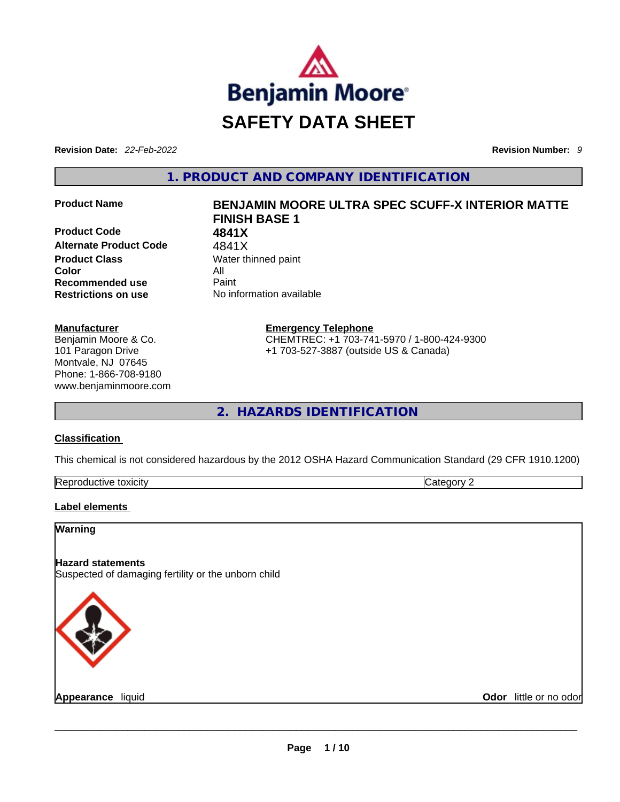

**Revision Date:** *22-Feb-2022* **Revision Number:** *9*

**1. PRODUCT AND COMPANY IDENTIFICATION** 

**Product Code 4841X**  Alternate Product Code 4841X **Product Class Water thinned paint Color** All **Recommended use** Paint **Restrictions on use** No information available

#### **Manufacturer**

Benjamin Moore & Co. 101 Paragon Drive Montvale, NJ 07645 Phone: 1-866-708-9180 www.benjaminmoore.com

# **Product Name BENJAMIN MOORE ULTRA SPEC SCUFF-X INTERIOR MATTE FINISH BASE 1**

**Emergency Telephone** CHEMTREC: +1 703-741-5970 / 1-800-424-9300 +1 703-527-3887 (outside US & Canada)

**2. HAZARDS IDENTIFICATION** 

#### **Classification**

This chemical is not considered hazardous by the 2012 OSHA Hazard Communication Standard (29 CFR 1910.1200)

| Reprod<br>toxicity<br>،vr<br>. |  |
|--------------------------------|--|
|                                |  |

#### **Label elements**

**Warning** 

#### **Hazard statements**

Suspected of damaging fertility or the unborn child



**Appearance** liquid **Odor** little or no odor \_\_\_\_\_\_\_\_\_\_\_\_\_\_\_\_\_\_\_\_\_\_\_\_\_\_\_\_\_\_\_\_\_\_\_\_\_\_\_\_\_\_\_\_\_\_\_\_\_\_\_\_\_\_\_\_\_\_\_\_\_\_\_\_\_\_\_\_\_\_\_\_\_\_\_\_\_\_\_\_\_\_\_\_\_\_\_\_\_\_\_\_\_

 $\overline{\phantom{0}}$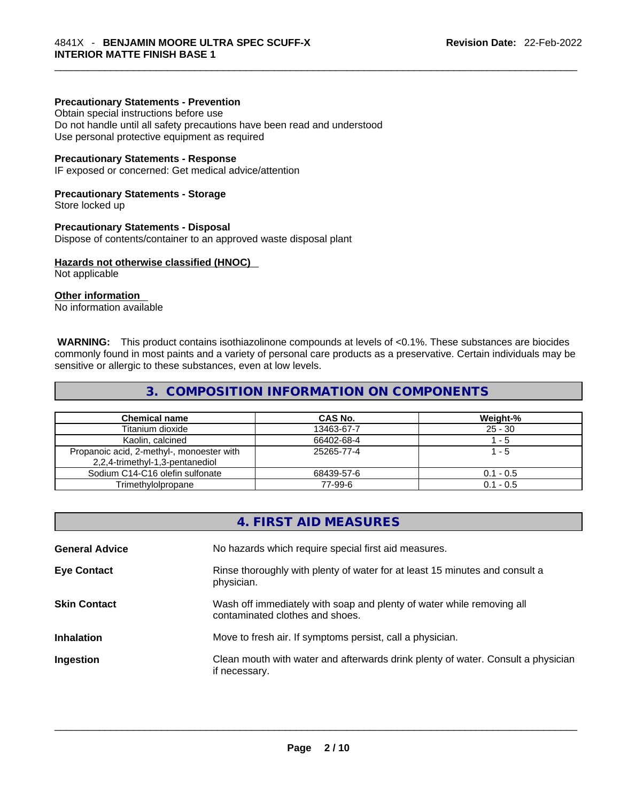#### **Precautionary Statements - Prevention**

Obtain special instructions before use Do not handle until all safety precautions have been read and understood

Use personal protective equipment as required

#### **Precautionary Statements - Response**

IF exposed or concerned: Get medical advice/attention

#### **Precautionary Statements - Storage**

Store locked up

#### **Precautionary Statements - Disposal**

Dispose of contents/container to an approved waste disposal plant

#### **Hazards not otherwise classified (HNOC)**

Not applicable

#### **Other information**

No information available

 **WARNING:** This product contains isothiazolinone compounds at levels of <0.1%. These substances are biocides commonly found in most paints and a variety of personal care products as a preservative. Certain individuals may be sensitive or allergic to these substances, even at low levels.

#### **3. COMPOSITION INFORMATION ON COMPONENTS**

| <b>Chemical name</b>                                                         | CAS No.    | Weight-%    |
|------------------------------------------------------------------------------|------------|-------------|
| Titanium dioxide                                                             | 13463-67-7 | $25 - 30$   |
| Kaolin, calcined                                                             | 66402-68-4 | - 5         |
| Propanoic acid, 2-methyl-, monoester with<br>2,2,4-trimethyl-1,3-pentanediol | 25265-77-4 | 1 - 5       |
| Sodium C14-C16 olefin sulfonate                                              | 68439-57-6 | $0.1 - 0.5$ |
| Trimethylolpropane                                                           | 77-99-6    | $0.1 - 0.5$ |

|                       | 4. FIRST AID MEASURES                                                                                    |
|-----------------------|----------------------------------------------------------------------------------------------------------|
| <b>General Advice</b> | No hazards which require special first aid measures.                                                     |
| <b>Eye Contact</b>    | Rinse thoroughly with plenty of water for at least 15 minutes and consult a<br>physician.                |
| <b>Skin Contact</b>   | Wash off immediately with soap and plenty of water while removing all<br>contaminated clothes and shoes. |
| <b>Inhalation</b>     | Move to fresh air. If symptoms persist, call a physician.                                                |
| Ingestion             | Clean mouth with water and afterwards drink plenty of water. Consult a physician<br>if necessary.        |
|                       |                                                                                                          |
|                       |                                                                                                          |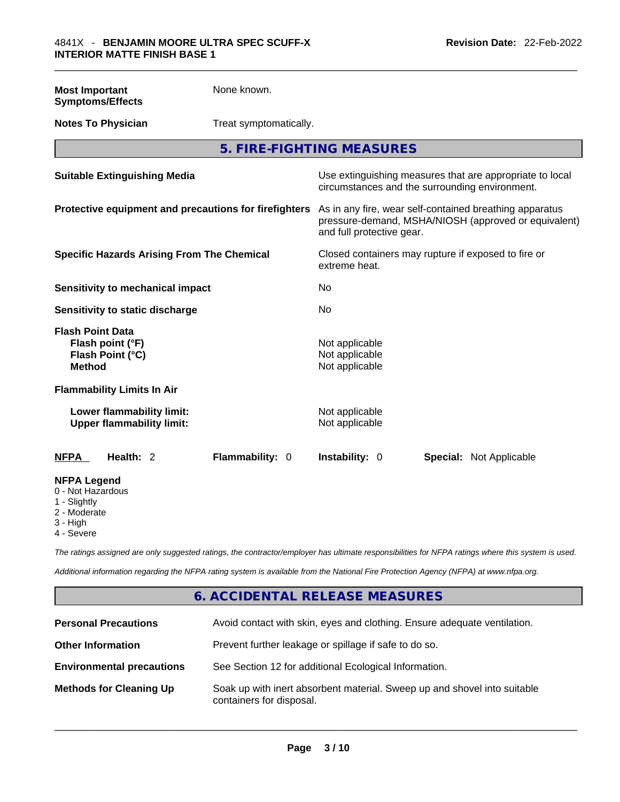| <b>Most Important</b><br><b>Symptoms/Effects</b>                                 | None known.            |                                                                                                                                              |
|----------------------------------------------------------------------------------|------------------------|----------------------------------------------------------------------------------------------------------------------------------------------|
| <b>Notes To Physician</b>                                                        | Treat symptomatically. |                                                                                                                                              |
|                                                                                  |                        | 5. FIRE-FIGHTING MEASURES                                                                                                                    |
| <b>Suitable Extinguishing Media</b>                                              |                        | Use extinguishing measures that are appropriate to local<br>circumstances and the surrounding environment.                                   |
| Protective equipment and precautions for firefighters                            |                        | As in any fire, wear self-contained breathing apparatus<br>pressure-demand, MSHA/NIOSH (approved or equivalent)<br>and full protective gear. |
| <b>Specific Hazards Arising From The Chemical</b>                                |                        | Closed containers may rupture if exposed to fire or<br>extreme heat.                                                                         |
| <b>Sensitivity to mechanical impact</b>                                          |                        | No                                                                                                                                           |
| Sensitivity to static discharge                                                  |                        | No                                                                                                                                           |
| <b>Flash Point Data</b><br>Flash point (°F)<br>Flash Point (°C)<br><b>Method</b> |                        | Not applicable<br>Not applicable<br>Not applicable                                                                                           |
| <b>Flammability Limits In Air</b>                                                |                        |                                                                                                                                              |
| Lower flammability limit:<br><b>Upper flammability limit:</b>                    |                        | Not applicable<br>Not applicable                                                                                                             |
| Health: 2<br><b>NFPA</b>                                                         | <b>Flammability: 0</b> | Instability: 0<br><b>Special: Not Applicable</b>                                                                                             |
| <b>NFPA Legend</b><br>0 - Not Hazardous<br>1 - Slightly                          |                        |                                                                                                                                              |

1 - Slightly

2 - Moderate

3 - High

4 - Severe

*The ratings assigned are only suggested ratings, the contractor/employer has ultimate responsibilities for NFPA ratings where this system is used.* 

*Additional information regarding the NFPA rating system is available from the National Fire Protection Agency (NFPA) at www.nfpa.org.* 

# **6. ACCIDENTAL RELEASE MEASURES**

| <b>Personal Precautions</b>      | Avoid contact with skin, eyes and clothing. Ensure adequate ventilation.                             |
|----------------------------------|------------------------------------------------------------------------------------------------------|
| <b>Other Information</b>         | Prevent further leakage or spillage if safe to do so.                                                |
| <b>Environmental precautions</b> | See Section 12 for additional Ecological Information.                                                |
| <b>Methods for Cleaning Up</b>   | Soak up with inert absorbent material. Sweep up and shovel into suitable<br>containers for disposal. |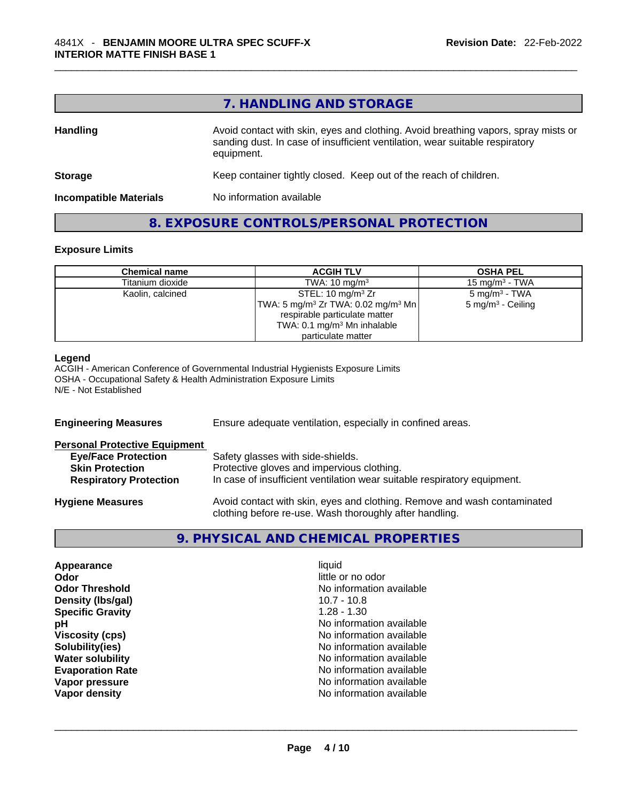# **7. HANDLING AND STORAGE**

| <b>Handling</b>               | Avoid contact with skin, eyes and clothing. Avoid breathing vapors, spray mists or<br>sanding dust. In case of insufficient ventilation, wear suitable respiratory<br>equipment. |  |
|-------------------------------|----------------------------------------------------------------------------------------------------------------------------------------------------------------------------------|--|
| <b>Storage</b>                | Keep container tightly closed. Keep out of the reach of children.                                                                                                                |  |
| <b>Incompatible Materials</b> | No information available                                                                                                                                                         |  |

#### **8. EXPOSURE CONTROLS/PERSONAL PROTECTION**

#### **Exposure Limits**

| <b>Chemical name</b> | <b>ACGIH TLV</b>                                         | <b>OSHA PEL</b>              |
|----------------------|----------------------------------------------------------|------------------------------|
| Titanium dioxide     | TWA: $10 \text{ mg/m}^3$                                 | 15 mg/m $3$ - TWA            |
| Kaolin, calcined     | STEL: 10 mg/m $3$ Zr                                     | $5 \text{ mg/m}^3$ - TWA     |
|                      | $ TWA: 5 \text{ ma/m}^3 Zr TWA: 0.02 \text{ ma/m}^3 Mn $ | $5 \text{ mg/m}^3$ - Ceiling |
|                      | respirable particulate matter                            |                              |
|                      | TWA: 0.1 mg/m <sup>3</sup> Mn inhalable                  |                              |
|                      | particulate matter                                       |                              |

#### **Legend**

ACGIH - American Conference of Governmental Industrial Hygienists Exposure Limits OSHA - Occupational Safety & Health Administration Exposure Limits N/E - Not Established

| <b>Engineering Measures</b>                                                                                                   | Ensure adequate ventilation, especially in confined areas.                                                                                                  |  |
|-------------------------------------------------------------------------------------------------------------------------------|-------------------------------------------------------------------------------------------------------------------------------------------------------------|--|
| <b>Personal Protective Equipment</b><br><b>Eye/Face Protection</b><br><b>Skin Protection</b><br><b>Respiratory Protection</b> | Safety glasses with side-shields.<br>Protective gloves and impervious clothing.<br>In case of insufficient ventilation wear suitable respiratory equipment. |  |
| <b>Hygiene Measures</b>                                                                                                       | Avoid contact with skin, eyes and clothing. Remove and wash contaminated<br>clothing before re-use. Wash thoroughly after handling.                         |  |

### **9. PHYSICAL AND CHEMICAL PROPERTIES**

| Appearance              | liquid            |
|-------------------------|-------------------|
| Odor                    | little or no odor |
| <b>Odor Threshold</b>   | No information av |
| Density (Ibs/gal)       | $10.7 - 10.8$     |
| <b>Specific Gravity</b> | $1.28 - 1.30$     |
| рH                      | No information av |
| <b>Viscosity (cps)</b>  | No information av |
| Solubility(ies)         | No information av |
| <b>Water solubility</b> | No information av |
| <b>Evaporation Rate</b> | No information av |
| Vapor pressure          | No information av |
| Vapor density           | No information av |

little or no odor **No information available Density (lbs/gal)** 10.7 - 10.8 **Specific Gravity** 1.28 - 1.30 **No information available Viscosity (cps)** No information available **No information available No information available Evaporation Rate** No information available **No information available**<br>**No information available Vapor density** No information available \_\_\_\_\_\_\_\_\_\_\_\_\_\_\_\_\_\_\_\_\_\_\_\_\_\_\_\_\_\_\_\_\_\_\_\_\_\_\_\_\_\_\_\_\_\_\_\_\_\_\_\_\_\_\_\_\_\_\_\_\_\_\_\_\_\_\_\_\_\_\_\_\_\_\_\_\_\_\_\_\_\_\_\_\_\_\_\_\_\_\_\_\_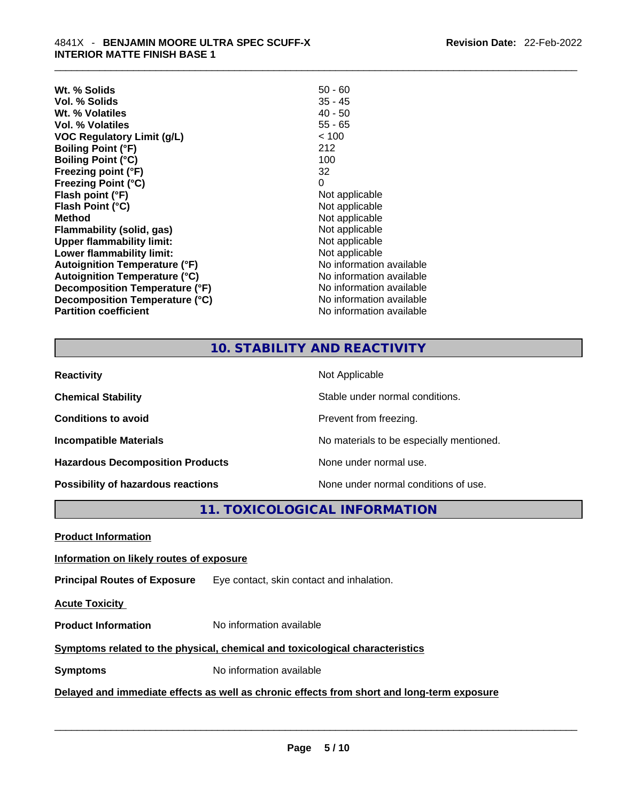| $50 - 60$                |
|--------------------------|
| $35 - 45$                |
| $40 - 50$                |
| $55 - 65$                |
| < 100                    |
| 212                      |
| 100                      |
| 32                       |
| 0                        |
| Not applicable           |
| Not applicable           |
| Not applicable           |
| Not applicable           |
| Not applicable           |
| Not applicable           |
| No information available |
| No information available |
| No information available |
| No information available |
| No information available |
|                          |

# **10. STABILITY AND REACTIVITY**

| <b>Reactivity</b>                       | Not Applicable                           |
|-----------------------------------------|------------------------------------------|
| <b>Chemical Stability</b>               | Stable under normal conditions.          |
| <b>Conditions to avoid</b>              | Prevent from freezing.                   |
| <b>Incompatible Materials</b>           | No materials to be especially mentioned. |
| <b>Hazardous Decomposition Products</b> | None under normal use.                   |
| Possibility of hazardous reactions      | None under normal conditions of use.     |

# **11. TOXICOLOGICAL INFORMATION**

| <b>Product Information</b>                                                                 |                                           |  |
|--------------------------------------------------------------------------------------------|-------------------------------------------|--|
| Information on likely routes of exposure                                                   |                                           |  |
| <b>Principal Routes of Exposure</b>                                                        | Eye contact, skin contact and inhalation. |  |
| <b>Acute Toxicity</b>                                                                      |                                           |  |
| <b>Product Information</b>                                                                 | No information available                  |  |
| Symptoms related to the physical, chemical and toxicological characteristics               |                                           |  |
| <b>Symptoms</b>                                                                            | No information available                  |  |
| Delayed and immediate effects as well as chronic effects from short and long-term exposure |                                           |  |
|                                                                                            |                                           |  |
|                                                                                            |                                           |  |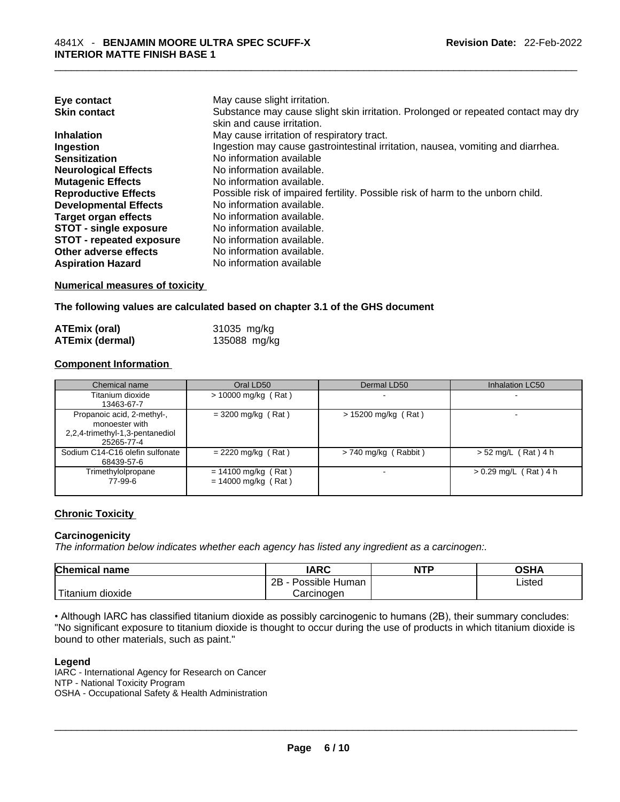| Eye contact                     | May cause slight irritation.                                                      |
|---------------------------------|-----------------------------------------------------------------------------------|
| <b>Skin contact</b>             | Substance may cause slight skin irritation. Prolonged or repeated contact may dry |
|                                 | skin and cause irritation.                                                        |
| <b>Inhalation</b>               | May cause irritation of respiratory tract.                                        |
| Ingestion                       | Ingestion may cause gastrointestinal irritation, nausea, vomiting and diarrhea.   |
| <b>Sensitization</b>            | No information available                                                          |
| <b>Neurological Effects</b>     | No information available.                                                         |
| <b>Mutagenic Effects</b>        | No information available.                                                         |
| <b>Reproductive Effects</b>     | Possible risk of impaired fertility. Possible risk of harm to the unborn child.   |
| <b>Developmental Effects</b>    | No information available.                                                         |
| Target organ effects            | No information available.                                                         |
| <b>STOT - single exposure</b>   | No information available.                                                         |
| <b>STOT - repeated exposure</b> | No information available.                                                         |
| Other adverse effects           | No information available.                                                         |
| <b>Aspiration Hazard</b>        | No information available                                                          |

#### **Numerical measures of toxicity**

**The following values are calculated based on chapter 3.1 of the GHS document**

| ATEmix (oral)          | 31035 mg/kg  |
|------------------------|--------------|
| <b>ATEmix (dermal)</b> | 135088 mg/kg |

#### **Component Information**

| Chemical name                   | Oral LD50             | Dermal LD50            | <b>Inhalation LC50</b>  |
|---------------------------------|-----------------------|------------------------|-------------------------|
| Titanium dioxide                | $> 10000$ mg/kg (Rat) |                        |                         |
| 13463-67-7                      |                       |                        |                         |
| Propanoic acid, 2-methyl-,      | $= 3200$ mg/kg (Rat)  | $> 15200$ mg/kg (Rat)  |                         |
| monoester with                  |                       |                        |                         |
| 2,2,4-trimethyl-1,3-pentanediol |                       |                        |                         |
| 25265-77-4                      |                       |                        |                         |
| Sodium C14-C16 olefin sulfonate | $= 2220$ mg/kg (Rat)  | $> 740$ mg/kg (Rabbit) | $> 52$ mg/L (Rat) 4 h   |
| 68439-57-6                      |                       |                        |                         |
| Trimethylolpropane              | $= 14100$ mg/kg (Rat) |                        | $> 0.29$ mg/L (Rat) 4 h |
| 77-99-6                         | $= 14000$ mg/kg (Rat) |                        |                         |
|                                 |                       |                        |                         |

#### **Chronic Toxicity**

#### **Carcinogenicity**

*The information below indicates whether each agency has listed any ingredient as a carcinogen:.* 

| <b>Chemical name</b>  | IARC                 | <b>NTP</b> | OSHA   |
|-----------------------|----------------------|------------|--------|
|                       | Possible Human<br>2B |            | ∟isted |
| Titanium J<br>dioxide | Carcinogen           |            |        |

• Although IARC has classified titanium dioxide as possibly carcinogenic to humans (2B), their summary concludes: "No significant exposure to titanium dioxide is thought to occur during the use of products in which titanium dioxide is bound to other materials, such as paint."

#### **Legend**

IARC - International Agency for Research on Cancer NTP - National Toxicity Program OSHA - Occupational Safety & Health Administration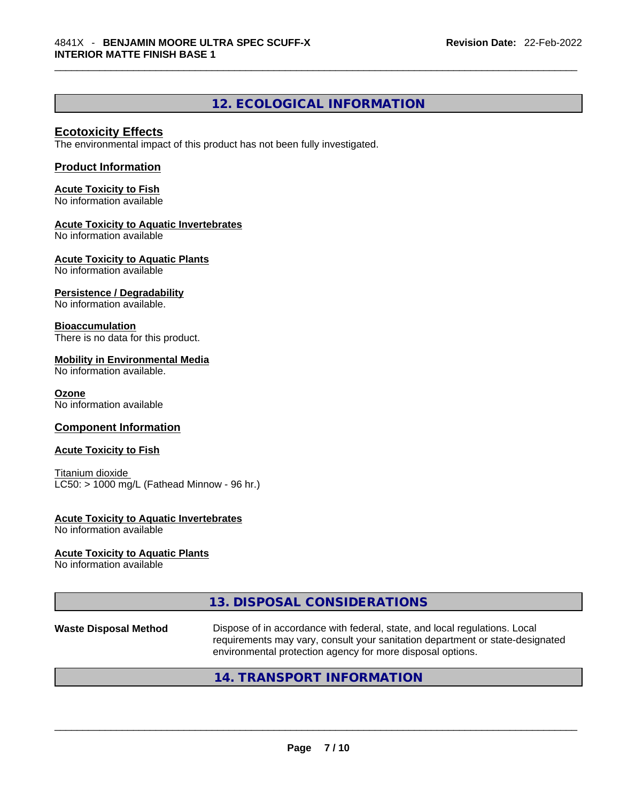# **12. ECOLOGICAL INFORMATION**

#### **Ecotoxicity Effects**

The environmental impact of this product has not been fully investigated.

#### **Product Information**

**Acute Toxicity to Fish** No information available

#### **Acute Toxicity to Aquatic Invertebrates**

No information available

**Acute Toxicity to Aquatic Plants** No information available

# **Persistence / Degradability**

No information available.

#### **Bioaccumulation**

There is no data for this product.

#### **Mobility in Environmental Media**

No information available.

#### **Ozone**

No information available

#### **Component Information**

#### **Acute Toxicity to Fish**

Titanium dioxide  $LC50:$  > 1000 mg/L (Fathead Minnow - 96 hr.)

#### **Acute Toxicity to Aquatic Invertebrates**

No information available

#### **Acute Toxicity to Aquatic Plants**

No information available

#### **13. DISPOSAL CONSIDERATIONS**

**Waste Disposal Method** Dispose of in accordance with federal, state, and local regulations. Local requirements may vary, consult your sanitation department or state-designated environmental protection agency for more disposal options.

#### **14. TRANSPORT INFORMATION**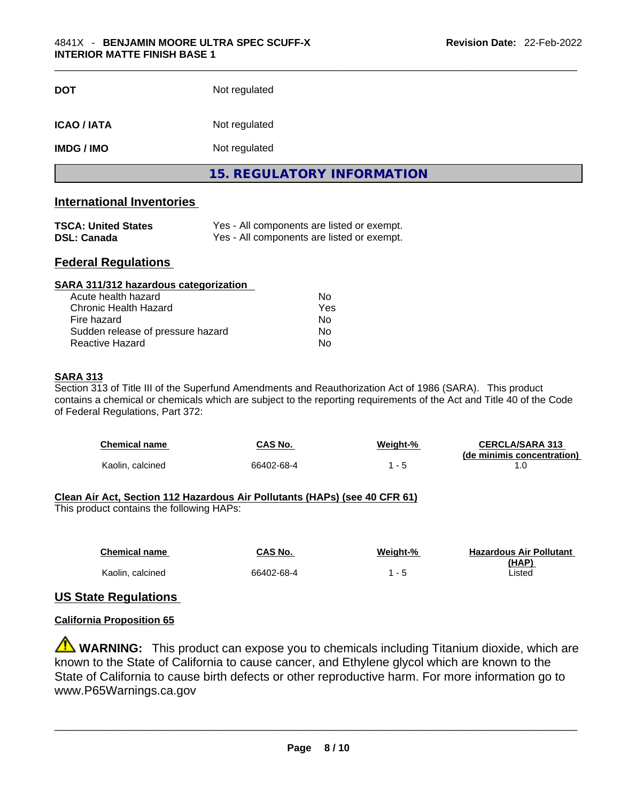| <b>15. REGULATORY INFORMATION</b>   |  |
|-------------------------------------|--|
|                                     |  |
| <b>IMDG / IMO</b><br>Not regulated  |  |
| <b>ICAO / IATA</b><br>Not regulated |  |
| Not regulated<br><b>DOT</b>         |  |

#### **International Inventories**

| <b>TSCA: United States</b> | Yes - All components are listed or exempt. |
|----------------------------|--------------------------------------------|
| <b>DSL: Canada</b>         | Yes - All components are listed or exempt. |

### **Federal Regulations**

| SARA 311/312 hazardous categorization |                |  |
|---------------------------------------|----------------|--|
| Acute health hazard                   | Nο             |  |
| Chronic Health Hazard                 | Yes            |  |
| Fire hazard                           | N <sub>0</sub> |  |
| Sudden release of pressure hazard     | No             |  |
| Reactive Hazard                       | No             |  |

#### **SARA 313**

Section 313 of Title III of the Superfund Amendments and Reauthorization Act of 1986 (SARA). This product contains a chemical or chemicals which are subject to the reporting requirements of the Act and Title 40 of the Code of Federal Regulations, Part 372:

| <b>Chemical name</b> | CAS No.    | <u>Weight-%</u> | <b>CERCLA/SARA 313</b>     |
|----------------------|------------|-----------------|----------------------------|
|                      |            |                 | (de minimis concentration) |
| Kaolin, calcined     | 66402-68-4 |                 |                            |

#### **Clean Air Act,Section 112 Hazardous Air Pollutants (HAPs) (see 40 CFR 61)**

This product contains the following HAPs:

| <b>Chemical name</b> | CAS No.    | Weight-% | <b>Hazardous Air Pollutant</b> |
|----------------------|------------|----------|--------------------------------|
|                      |            |          | (HAP)                          |
| Kaolin, calcined     | 66402-68-4 |          | Listed                         |

#### **US State Regulations**

#### **California Proposition 65**

**WARNING:** This product can expose you to chemicals including Titanium dioxide, which are known to the State of California to cause cancer, and Ethylene glycol which are known to the State of California to cause birth defects or other reproductive harm. For more information go to www.P65Warnings.ca.gov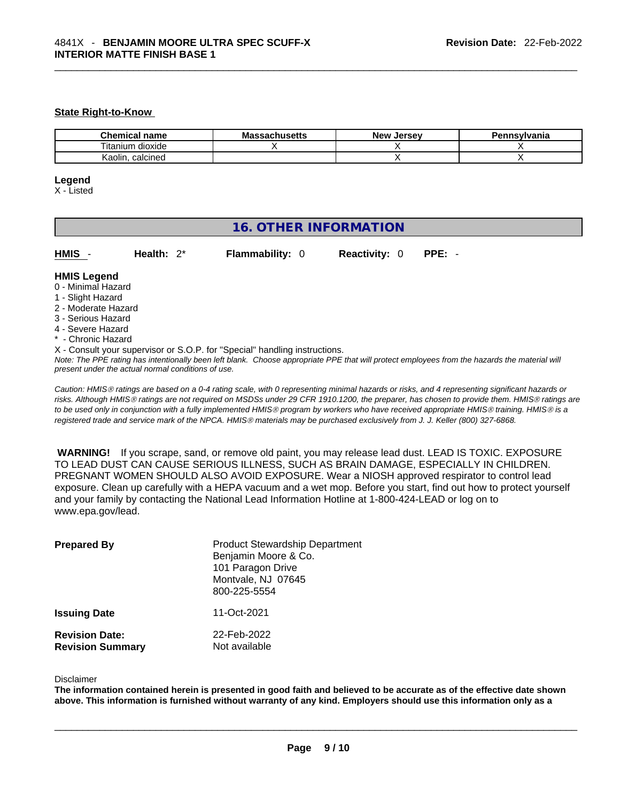#### **State Right-to-Know**

| Chemical<br>name                  | <br>Massachusetts | Jersev<br><b>New</b> | าnsvlvania |
|-----------------------------------|-------------------|----------------------|------------|
| $- \cdot$ .<br>dioxide<br>itanıum |                   |                      |            |
| Kaolin<br>calcined                |                   |                      |            |

#### **Legend**

X - Listed

# **16. OTHER INFORMATION**

**HMIS** - **Health:** 2\* **Flammability:** 0 **Reactivity:** 0 **PPE:** -

#### **HMIS Legend**

- 0 Minimal Hazard
- 1 Slight Hazard
- 2 Moderate Hazard
- 3 Serious Hazard
- 4 Severe Hazard
- \* Chronic Hazard
- X Consult your supervisor or S.O.P. for "Special" handling instructions.

Note: The PPE rating has intentionally been left blank. Choose appropriate PPE that will protect employees from the hazards the material will *present under the actual normal conditions of use.* 

*Caution: HMISÒ ratings are based on a 0-4 rating scale, with 0 representing minimal hazards or risks, and 4 representing significant hazards or risks. Although HMISÒ ratings are not required on MSDSs under 29 CFR 1910.1200, the preparer, has chosen to provide them. HMISÒ ratings are to be used only in conjunction with a fully implemented HMISÒ program by workers who have received appropriate HMISÒ training. HMISÒ is a registered trade and service mark of the NPCA. HMISÒ materials may be purchased exclusively from J. J. Keller (800) 327-6868.* 

 **WARNING!** If you scrape, sand, or remove old paint, you may release lead dust. LEAD IS TOXIC. EXPOSURE TO LEAD DUST CAN CAUSE SERIOUS ILLNESS, SUCH AS BRAIN DAMAGE, ESPECIALLY IN CHILDREN. PREGNANT WOMEN SHOULD ALSO AVOID EXPOSURE.Wear a NIOSH approved respirator to control lead exposure. Clean up carefully with a HEPA vacuum and a wet mop. Before you start, find out how to protect yourself and your family by contacting the National Lead Information Hotline at 1-800-424-LEAD or log on to www.epa.gov/lead.

| <b>Prepared By</b>                               | <b>Product Stewardship Department</b><br>Benjamin Moore & Co.<br>101 Paragon Drive<br>Montvale, NJ 07645<br>800-225-5554 |
|--------------------------------------------------|--------------------------------------------------------------------------------------------------------------------------|
| <b>Issuing Date</b>                              | 11-Oct-2021                                                                                                              |
| <b>Revision Date:</b><br><b>Revision Summary</b> | 22-Feb-2022<br>Not available                                                                                             |

#### Disclaimer

The information contained herein is presented in good faith and believed to be accurate as of the effective date shown above. This information is furnished without warranty of any kind. Employers should use this information only as a